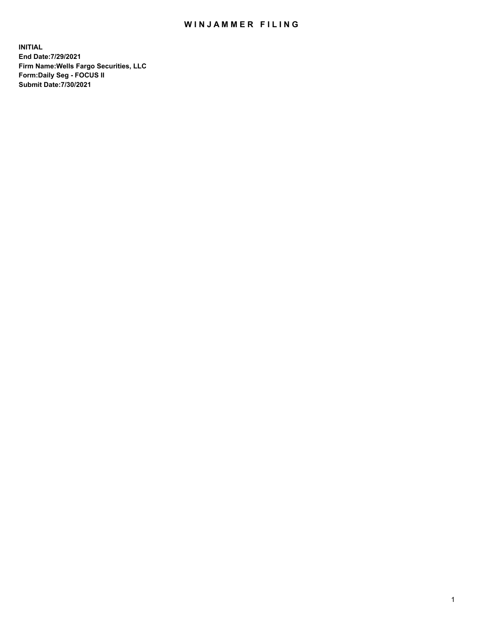## WIN JAMMER FILING

**INITIAL End Date:7/29/2021 Firm Name:Wells Fargo Securities, LLC Form:Daily Seg - FOCUS II Submit Date:7/30/2021**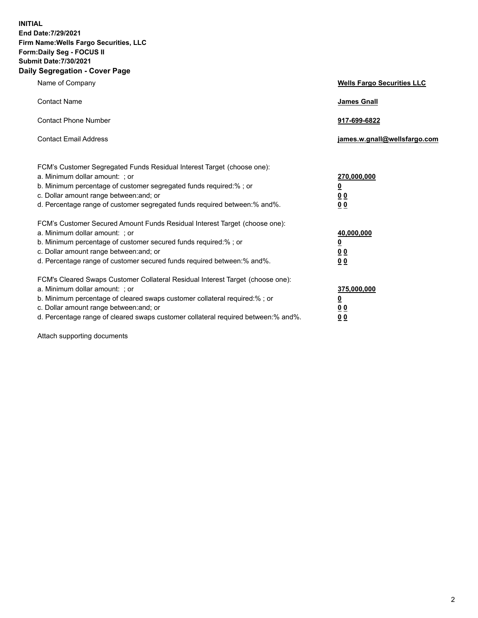**INITIAL End Date:7/29/2021 Firm Name:Wells Fargo Securities, LLC Form:Daily Seg - FOCUS II Submit Date:7/30/2021 Daily Segregation - Cover Page**

| Name of Company                                                                                                                                                                                                                                                                                                               | <b>Wells Fargo Securities LLC</b>                          |
|-------------------------------------------------------------------------------------------------------------------------------------------------------------------------------------------------------------------------------------------------------------------------------------------------------------------------------|------------------------------------------------------------|
| <b>Contact Name</b>                                                                                                                                                                                                                                                                                                           | <b>James Gnall</b>                                         |
| <b>Contact Phone Number</b>                                                                                                                                                                                                                                                                                                   | 917-699-6822                                               |
| <b>Contact Email Address</b>                                                                                                                                                                                                                                                                                                  | james.w.gnall@wellsfargo.com                               |
| FCM's Customer Segregated Funds Residual Interest Target (choose one):<br>a. Minimum dollar amount: ; or<br>b. Minimum percentage of customer segregated funds required:% ; or<br>c. Dollar amount range between: and; or<br>d. Percentage range of customer segregated funds required between:% and%.                        | 270,000,000<br><u>0</u><br>0 <sub>0</sub><br>00            |
| FCM's Customer Secured Amount Funds Residual Interest Target (choose one):<br>a. Minimum dollar amount: ; or<br>b. Minimum percentage of customer secured funds required:%; or<br>c. Dollar amount range between: and; or<br>d. Percentage range of customer secured funds required between: % and %.                         | 40,000,000<br><u>0</u><br>0 <sub>0</sub><br>0 <sub>0</sub> |
| FCM's Cleared Swaps Customer Collateral Residual Interest Target (choose one):<br>a. Minimum dollar amount: ; or<br>b. Minimum percentage of cleared swaps customer collateral required:%; or<br>c. Dollar amount range between: and; or<br>d. Percentage range of cleared swaps customer collateral required between:% and%. | 375,000,000<br><u>0</u><br>00<br>00                        |

Attach supporting documents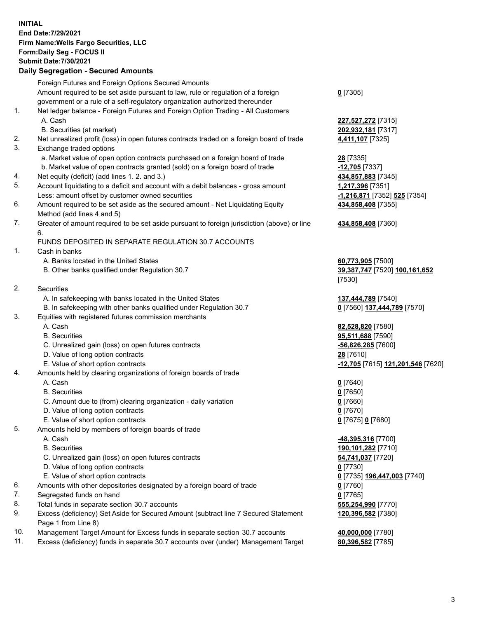**INITIAL End Date:7/29/2021 Firm Name:Wells Fargo Securities, LLC Form:Daily Seg - FOCUS II Submit Date:7/30/2021**

## **Daily Segregation - Secured Amounts**

|          | Foreign Futures and Foreign Options Secured Amounts                                                |                                   |
|----------|----------------------------------------------------------------------------------------------------|-----------------------------------|
|          | Amount required to be set aside pursuant to law, rule or regulation of a foreign                   | $0$ [7305]                        |
|          | government or a rule of a self-regulatory organization authorized thereunder                       |                                   |
| 1.       | Net ledger balance - Foreign Futures and Foreign Option Trading - All Customers                    |                                   |
|          | A. Cash                                                                                            | 227,527,272 [7315]                |
|          | B. Securities (at market)                                                                          | 202,932,181 [7317]                |
| 2.       | Net unrealized profit (loss) in open futures contracts traded on a foreign board of trade          | 4,411,107 [7325]                  |
| 3.       | Exchange traded options                                                                            |                                   |
|          | a. Market value of open option contracts purchased on a foreign board of trade                     | 28 [7335]                         |
|          | b. Market value of open contracts granted (sold) on a foreign board of trade                       | -12,705 [7337]                    |
| 4.       | Net equity (deficit) (add lines 1. 2. and 3.)                                                      | 434,857,883 [7345]                |
| 5.       | Account liquidating to a deficit and account with a debit balances - gross amount                  | 1,217,396 [7351]                  |
|          | Less: amount offset by customer owned securities                                                   | -1,216,871 [7352] 525 [7354]      |
| 6.       | Amount required to be set aside as the secured amount - Net Liquidating Equity                     | 434,858,408 [7355]                |
|          | Method (add lines 4 and 5)                                                                         |                                   |
| 7.       | Greater of amount required to be set aside pursuant to foreign jurisdiction (above) or line        | 434,858,408 [7360]                |
|          | 6.                                                                                                 |                                   |
|          | FUNDS DEPOSITED IN SEPARATE REGULATION 30.7 ACCOUNTS                                               |                                   |
| 1.       | Cash in banks                                                                                      |                                   |
|          | A. Banks located in the United States                                                              | 60,773,905 [7500]                 |
|          | B. Other banks qualified under Regulation 30.7                                                     | 39,387,747 [7520] 100,161,652     |
|          |                                                                                                    | [7530]                            |
| 2.       | Securities                                                                                         |                                   |
|          | A. In safekeeping with banks located in the United States                                          | 137,444,789 [7540]                |
|          | B. In safekeeping with other banks qualified under Regulation 30.7                                 | 0 [7560] 137,444,789 [7570]       |
| 3.       | Equities with registered futures commission merchants                                              |                                   |
|          | A. Cash                                                                                            | 82,528,820 [7580]                 |
|          | <b>B.</b> Securities                                                                               | 95,511,688 [7590]                 |
|          | C. Unrealized gain (loss) on open futures contracts                                                | $-56,826,285$ [7600]              |
|          | D. Value of long option contracts                                                                  | 28 [7610]                         |
|          | E. Value of short option contracts                                                                 | -12,705 [7615] 121,201,546 [7620] |
| 4.       | Amounts held by clearing organizations of foreign boards of trade                                  |                                   |
|          | A. Cash                                                                                            | $0$ [7640]                        |
|          | <b>B.</b> Securities                                                                               | $0$ [7650]                        |
|          | C. Amount due to (from) clearing organization - daily variation                                    | $0$ [7660]                        |
|          | D. Value of long option contracts                                                                  | $0$ [7670]                        |
|          | E. Value of short option contracts                                                                 | 0 [7675] 0 [7680]                 |
| 5.       | Amounts held by members of foreign boards of trade                                                 |                                   |
|          | A. Cash                                                                                            | <u>-48,395,316</u> [7700]         |
|          | <b>B.</b> Securities                                                                               | 190,101,282 [7710]                |
|          | C. Unrealized gain (loss) on open futures contracts                                                | 54,741,037 [7720]                 |
|          | D. Value of long option contracts<br>E. Value of short option contracts                            | $0$ [7730]                        |
|          |                                                                                                    | 0 [7735] 196,447,003 [7740]       |
| 6.<br>7. | Amounts with other depositories designated by a foreign board of trade<br>Segregated funds on hand | $0$ [7760]                        |
| 8.       | Total funds in separate section 30.7 accounts                                                      | $0$ [7765]<br>555,254,990 [7770]  |
| 9.       | Excess (deficiency) Set Aside for Secured Amount (subtract line 7 Secured Statement                | 120,396,582 [7380]                |
|          | Page 1 from Line 8)                                                                                |                                   |
|          |                                                                                                    |                                   |

- 10. Management Target Amount for Excess funds in separate section 30.7 accounts **40,000,000** [7780]
- 11. Excess (deficiency) funds in separate 30.7 accounts over (under) Management Target **80,396,582** [7785]

3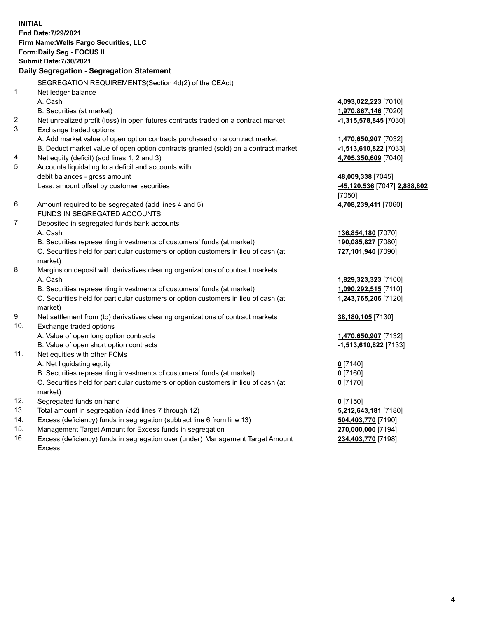**INITIAL End Date:7/29/2021 Firm Name:Wells Fargo Securities, LLC Form:Daily Seg - FOCUS II Submit Date:7/30/2021**

## **Daily Segregation - Segregation Statement**

SEGREGATION REQUIREMENTS(Section 4d(2) of the CEAct)

| 1.  | Net ledger balance                                                                  |                              |
|-----|-------------------------------------------------------------------------------------|------------------------------|
|     | A. Cash                                                                             | 4,093,022,223 [7010]         |
|     | B. Securities (at market)                                                           | 1,970,867,146 [7020]         |
| 2.  | Net unrealized profit (loss) in open futures contracts traded on a contract market  | $-1,315,578,845$ [7030]      |
| 3.  | Exchange traded options                                                             |                              |
|     | A. Add market value of open option contracts purchased on a contract market         | 1,470,650,907 [7032]         |
|     | B. Deduct market value of open option contracts granted (sold) on a contract market | $-1,513,610,822$ [7033]      |
| 4.  | Net equity (deficit) (add lines 1, 2 and 3)                                         | 4,705,350,609 [7040]         |
| 5.  | Accounts liquidating to a deficit and accounts with                                 |                              |
|     | debit balances - gross amount                                                       | 48,009,338 [7045]            |
|     | Less: amount offset by customer securities                                          | -45,120,536 [7047] 2,888,802 |
|     |                                                                                     | [7050]                       |
| 6.  | Amount required to be segregated (add lines 4 and 5)                                | 4,708,239,411 [7060]         |
|     | FUNDS IN SEGREGATED ACCOUNTS                                                        |                              |
| 7.  | Deposited in segregated funds bank accounts                                         |                              |
|     | A. Cash                                                                             | 136,854,180 [7070]           |
|     | B. Securities representing investments of customers' funds (at market)              | 190,085,827 [7080]           |
|     | C. Securities held for particular customers or option customers in lieu of cash (at | 727,101,940 [7090]           |
|     | market)                                                                             |                              |
| 8.  | Margins on deposit with derivatives clearing organizations of contract markets      |                              |
|     | A. Cash                                                                             | 1,829,323,323 [7100]         |
|     | B. Securities representing investments of customers' funds (at market)              | 1,090,292,515 [7110]         |
|     | C. Securities held for particular customers or option customers in lieu of cash (at | 1,243,765,206 [7120]         |
|     | market)                                                                             |                              |
| 9.  | Net settlement from (to) derivatives clearing organizations of contract markets     | 38,180,105 [7130]            |
| 10. | Exchange traded options                                                             |                              |
|     | A. Value of open long option contracts                                              | 1,470,650,907 [7132]         |
|     | B. Value of open short option contracts                                             | -1,513,610,822 [7133]        |
| 11. | Net equities with other FCMs                                                        |                              |
|     | A. Net liquidating equity                                                           | $0$ [7140]                   |
|     | B. Securities representing investments of customers' funds (at market)              | $0$ [7160]                   |
|     | C. Securities held for particular customers or option customers in lieu of cash (at | $0$ [7170]                   |
|     | market)                                                                             |                              |
| 12. | Segregated funds on hand                                                            | $0$ [7150]                   |
| 13. | Total amount in segregation (add lines 7 through 12)                                | 5,212,643,181 [7180]         |
| 14. | Excess (deficiency) funds in segregation (subtract line 6 from line 13)             | 504,403,770 [7190]           |
| 15. | Management Target Amount for Excess funds in segregation                            | 270,000,000 [7194]           |
| 16. | Excess (deficiency) funds in segregation over (under) Management Target Amount      | 234,403,770 [7198]           |
|     | <b>Excess</b>                                                                       |                              |